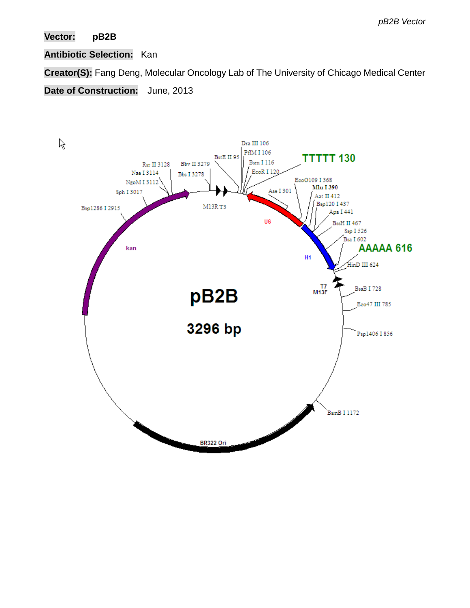# **Vector: pB2B**

## **Antibiotic Selection:** Kan

**Creator(S):** Fang Deng, Molecular Oncology Lab of The University of Chicago Medical Center

**Date of Construction:** June, 2013

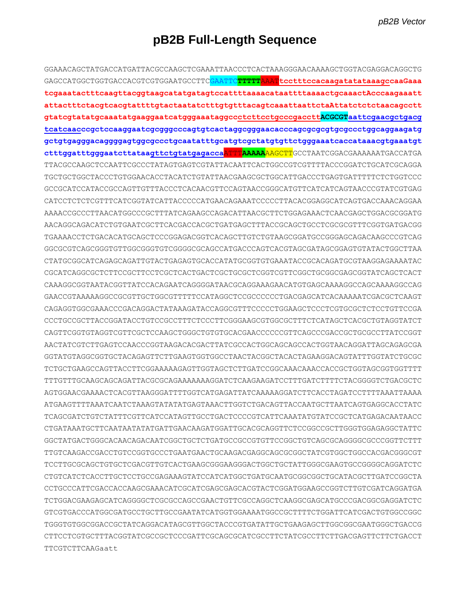# pB2B Full-Length Sequence

GGAAACAGCTATGACCATGATTACGCCAAGCTCGAAATTAACCCTCACTAAAGGGAACAAAAGCTGGTACGAGGACAGGCTG GAGCCATGGCTGGTGACCACGTCGTGGAATGCCTTC<mark>GAATTC</mark>TTTTTAAATtcctttccacaaqatatataaaqccaaGaaa tcgaaatactttcaagttacggtaagcatatgatagtccattttaaaacataattttaaaactgcaaactAcccaagaaatt gtatcgtatatgcaaatatgaaggaatcatgggaaataggccctcttcctgcccgacctt<mark>ACGCGT</mark>aattcgaacgctgacq tcatcaacccgctccaaggaatcgcggggcccagtgtcactaggcgggaacacccagcgcgcgtgcgccctggcaggaagatg gctgtgagggacaggggagtggcgccctgcaatatttgcatgtcgctatgtgttctgggaaatcaccataaacgtgaaatgt ctttggatttgggaatcttataagttctgtatgagaccaATTTAAAAAAGCTTGCCTAATCGGACGAAAAAATGACCATGA TTACGCCAAGCTCCAATTCGCCCTATAGTGAGTCGTATTACAATTCACTGGCCGTCGTTTTACCCGGATCTGCATCGCAGGA TGCTGCTGGCTACCCTGTGGAACACCTACATCTGTATTAACGAAGCGCTGGCATTGACCCTGAGTGATTTTTCTCTGGTCCC GCCGCATCCATACCGCCAGTTGTTTACCCTCACAACGTTCCAGTAACCGGCATGTTCATCATCAGTAACCCGTATCGTGAG CATCCTCTCTCGTTTCATCGGTATCATTACCCCCATGAACAGAAATCCCCCTTACACGGAGGCATCAGTGACCAAACAGGAA AAAACCGCCCTTAACATGGCCCGCTTTATCAGAAGCCAGACATTAACGCTTCTGGAGAAACTCAACGAGCTGGACGCGGATG AACAGGCAGACATCTGTGAATCGCTTCACGACCACGCTGATGAGCTTTACCGCAGCTGCCTCGCGCGTTTCGGTGATGACGG TGAAAACCTCTGACACATGCAGCTCCCGGAGACGGTCACAGCTTGTCTGTAAGCGGATGCCGGGAGCAGACAAGCCCGTCAG GGCGCGTCAGCGGGTGTTGGCGGGTGTCGGGGCGCAGCCATGACCCAGTCACGTAGCGATAGCGGAGTGTATACTGGCTTAA CTATGCGGCATCAGAGCAGATTGTACTGAGAGTGCACCATATGCGGTGTGAAATACCGCACAGATGCGTAAGGAGAAAATAC CGCATCAGGCGCTCTTCCGCTTCCTCGCTCACTGACTCGCTGCGCTCGGTCGTTCGGCTGCGGCGAGCGGTATCAGCTCACT CAAAGGCGGTAATACGGTTATCCACAGAATCAGGGGATAACGCAGGAAAGAACATGTGAGCAAAAGGCCAGCAAAAGGCCAG GAACCGTAAAAAGGCCGCGTTGCTGGCGTTTTTCCATAGGCTCCGCCCCCTGACGAGCATCACAAAAATCGACGCTCAAGT CAGAGGTGGCGAAACCCGACAGGACTATAAAGATACCAGGCGTTTCCCCCTGGAAGCTCCCTCGTGCGCTCTCCTGTTCCGA CCCTGCCGCTTACCGGATACCTGTCCGCCTTTCTCCCTTCGGGAAGCGTGGCGCTTTCTCATAGCTCACGCTGTAGGTATCT CAGTTCGGTGTAGGTCGTTCGCTCCAAGCTGGGCTGTGTGCACGAACCCCCCGTTCAGCCCGACCGCTGCGCCTTATCCGGT AACTATCGTCTTGAGTCCAACCCGGTAAGACACGACTTATCGCCACTGGCAGCAGCCACTGGTAACAGGATTAGCAGAGCGA GGTATGTAGGCGGTGCTACAGAGTTCTTGAAGTGGTGGCCTAACTACGGCTACACTAGAAGGACAGTATTTGGTATCTGCGC TTTGTTTGCAAGCAGCAGATTACGCGCAGAAAAAAAGGATCTCAAGAAGATCCTTTGATCTTTTCTACGGGGTCTGACGCTC AGTGGAACGAAAACTCACGTTAAGGGATTTTGGTCATGAGATTATCAAAAAGGATCTTCACCTAGATCCTTTTAAATTAAAA ATGAAGTTTTAAATCAATCTAAAGTATATATGAGTAAACTTGGTCTGACAGTTACCAATGCTTAATCAGTGAGGCACCTATC TCAGCGATCTGTCTATTTCGTTCATCCATAGTTGCCTGACTCCCCGTCATTCAAATATGTATCCGCTCATGAGACAATAACC CTGATAAATGCTTCAATAATATATGATTGAACAAGATGGATTGCACGCAGGTTCTCCGGCCGCTTGGGTGGAGAGGCTATTC GGCTATGACTGGGCACAACAGACAATCGGCTGCTCTGATGCCGCCGTGTTCCGGCTGTCAGCGCAGGGGCCCCCGGTTCTTT TCCTTGCGCAGCTGTGCTCGACGTTGTCACTGAAGCGGGAAGGGACTGGCTGCTATTGGGCGAAGTGCCGGGGCAGGATCTC CTGTCATCTCACCTTGCTCCTGCCGAGAAAGTATCCATCATGGCTGATGCAATGCGGCGGCTGCATACGCTTGATCCGGCTA TCTGGACGAAGAGCATCAGGGGCTCGCGCCAGCCGAACTGTTCGCCAGGCTCAAGGCGAGCATGCCCGACGGCGAGGATCTC GTCGTGACCCATGGCGATGCCTGCTTGCCGAATATCATGGTGGAAAATGGCCGCTTTTCTGGATTCATCGACTGTGGCCGGC TGGGTGTGGCGGACCGCTATCAGGACATAGCGTTGGCTACCCGTGATATTGCTGAAGAGCTTGGCGGCGAATGGGCTGACCG CTTCCTCGTGCTTTACGGTATCGCCGCTCCCGATTCGCAGCGCATCGCCTTCTATCGCCTTCTTGACGAGTTCTTCTGACCT  $TTTCCTCTTTC22G22++$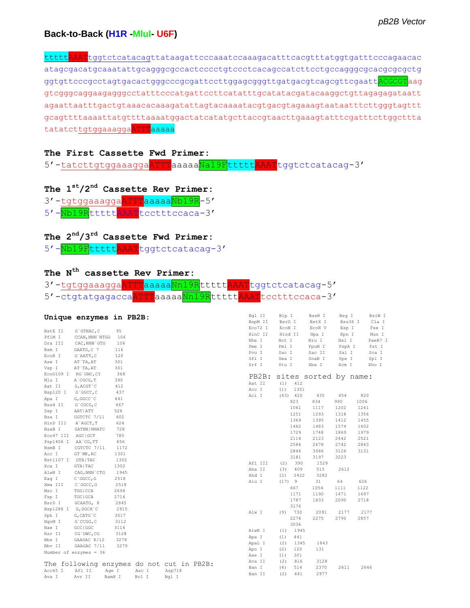### **Back-to-Back (H1R -MluI- U6F)**

ttttt<mark>AAAT</mark>tggtctcatacagttataagattcccaaatccaaagacatttcacgtttatggtgatttcccagaacac atagcgacatgcaaatattgcagggcgccactcccctgtccctcacagccatcttcctgccagggcgcacgcgcgctg ggtgttcccgcctagtgacactgggcccgcgattccttggagcgggttgatgacgtcagcgttcgaattaCGCGTaag gtcgggcaggaagagggcctatttcccatgattccttcatatttgcatatacgatacaaggctgttagagagataatt agaattaatttgactgtaaacacaaagatattagtacaaaatacgtgacgtagaaagtaataatttcttgggtagttt gcagttttaaaattatgttttaaaatggactatcatatgcttaccgtaacttgaaagtatttcgatttcttggcttta tatatcttgtggaaaggaATTTaaaaa

#### **The First Cassette Fwd Primer:**

5'-tatcttgtggaaaggaATTTaaaaaNa19FtttttAAATtggtctcatacag-3'

**The 1st/2nd Cassette Rev Primer:** 3'-tgtggaaaggaATTTaaaaaNb19R-5' 5'-Nb19RtttttAAATtcctttccaca-3'

**The 2nd/3rd Cassette Fwd Primer:** 5'-Nb19FtttttAAATtggtctcatacag-3'

## **The Nth cassette Rev Primer:**

3'-tgtggaaaggaATTTaaaaaNn19RtttttAAATtggtctcatacag-5' 5'-ctgtatgagaccaATTTaaaaaMn19RtttttAAATtcctttccaca-3'

|                     | Unique enzymes in PB2B:                   |        |       |        |  | Bgl II<br>BspM II | Blp I<br>BsrG I |          | BseR I<br>BstX I      | Bsq I<br>Bsu36 I |      | BsiW I<br>Cla I |
|---------------------|-------------------------------------------|--------|-------|--------|--|-------------------|-----------------|----------|-----------------------|------------------|------|-----------------|
|                     |                                           |        |       |        |  | Eco72 I           | ECON I          |          | ECOR V                | Esp I            |      | Fse I           |
| BstE II             | G`GTNAC, C                                | 95     |       |        |  | HinC II           |                 | Hind II  | Hpa I                 | Kpn I            |      | Mun I           |
| PflM I              | CCAN, NNN `NTGG                           | 106    |       |        |  | Nhe I             | Not I           |          | Nru I                 | Nsi I            |      | PaeR7 I         |
| Dra III             | CAC, NNN `GTG                             | 106    |       |        |  | Pme I             | Pml I           |          | PpuM I                | PspA I           |      | Pst I           |
| Bsm I               | GAATG, C 7                                | 116    |       |        |  | Pvu I             | Sac I           |          | Sac II                | Sal I            |      | Sca I           |
| EcoR I              | G`AATT, C                                 | 120    |       |        |  | Sfi I             | Sma I           |          | SnaB I                | Spe I            |      | Spl I           |
| Ase I               | AT `TA, AT                                | 301    |       |        |  | Srf I             | Stu I           |          | Xba I                 | Xcm I            |      | Xho I           |
| Vsp I               | AT `TA, AT                                | 301    |       |        |  |                   |                 |          |                       |                  |      |                 |
|                     | Eco0109 I RG'GNC, CY                      | 368    |       |        |  | PB2B:             |                 |          | sites sorted by name: |                  |      |                 |
| Mlu I               | A`CGCG, T                                 | 390    |       |        |  | Aat II            | (1)             | 412      |                       |                  |      |                 |
| Aat II              | G, ACGT `C                                | 412    |       |        |  | Acc I             | (1)             | 1301     |                       |                  |      |                 |
| Bsp120 I            | G`GGCC, C                                 | 437    |       |        |  | Aci I             |                 | (43) 420 | 435                   | 454              | 820  |                 |
| Apa I               | G, GGCC `C                                | 441    |       |        |  |                   |                 | 823      | 834                   | 990              | 1006 |                 |
| BssH II             | G`CGCG, C                                 | 467    |       |        |  |                   |                 | 1061     | 1117                  | 1202             | 1241 |                 |
| Ssp I               | AAT   ATT                                 | 526    |       |        |  |                   |                 | 1251     | 1293                  | 1318             | 1356 |                 |
| Bsa I               | GGTCTC 7/11                               | 602    |       |        |  |                   |                 | 1369     |                       | 1412             | 1455 |                 |
| HinD III            | A`AGCT, T                                 | 624    |       |        |  |                   |                 |          | 1395                  |                  |      |                 |
| BsaB I              | GATNN   NNATC                             | 728    |       |        |  |                   |                 | 1462     | 1483                  | 1574             | 1602 |                 |
| Eco47 III AGC GCT   |                                           | 785    |       |        |  |                   |                 | 1729     | 1748                  | 1869             | 1979 |                 |
| Psp1406 I AA`CG, TT |                                           | 856    |       |        |  |                   |                 | 2114     | 2123                  | 2442             | 2521 |                 |
| BsmB I              | CGTCTC 7/11                               | 1172   |       |        |  |                   |                 | 2584     | 2678                  | 2742             | 2843 |                 |
| Acc I               | GT `MK, AC                                | 1301   |       |        |  |                   |                 | 2846     | 3086                  | 3126             | 3131 |                 |
| Bst1107 I GTA TAC   |                                           | 1302   |       |        |  |                   |                 | 3181     | 3197                  | 3223             |      |                 |
| Xca I               | GTA   TAC                                 | 1302   |       |        |  | Afl III           | (2)             | 390      | 1529                  |                  |      |                 |
| AlwN I              | CAG, NNN `CTG                             | 1945   |       |        |  | Aha II            | (3)             | 409      | 515                   | 2612             |      |                 |
| Eag I               | C`GGCC, G                                 | 2518   |       |        |  | Ahd I             | (2)             | 2422     | 3282                  |                  |      |                 |
| Xma III             | C `GGCC, G                                | 2518   |       |        |  | Alu I             | (17) 9          |          | 31                    | 64               | 626  |                 |
| Msc I               | TGG   CCA                                 | 2694   |       |        |  |                   |                 | 667      | 1054                  | 1111             | 1122 |                 |
| Fsp I               | TGC   GCA                                 | 2714   |       |        |  |                   |                 | 1171     | 1190                  | 1471             | 1697 |                 |
| BsrD I              | GCAATG, 8                                 | 2845   |       |        |  |                   |                 | 1787     | 1833                  | 2090             | 2718 |                 |
| Bsp1286 I G, DGCH'C |                                           | 2915   |       |        |  |                   |                 | 3176     |                       |                  |      |                 |
| Sph I               | $G, CATG$ $C$                             | 3017   |       |        |  | Alw I             |                 | (9) 730  | 2091                  | 2177             | 2177 |                 |
| NgoM I              | G`CCGG, C                                 | 3112   |       |        |  |                   |                 | 2274     | 2275                  | 2790             | 2857 |                 |
| Nae I               | GCC   GGC                                 | 3114   |       |        |  |                   |                 | 3036     |                       |                  |      |                 |
| Rsr II              | CG`GWC, CG                                | 3128   |       |        |  | AlwN I            | (1)             | 1945     |                       |                  |      |                 |
| Bbs I               | GAAGAC 8/12                               | 3278   |       |        |  | Apa I             | (1)             | 441      |                       |                  |      |                 |
| Bbv II              | GAAGAC 7/11                               | 3279   |       |        |  | ApaL I            | (2)             | 1345     | 1843                  |                  |      |                 |
|                     | Number of enzymes = 36                    |        |       |        |  | Apo I             | (2)             | 120      | 131                   |                  |      |                 |
|                     |                                           |        |       |        |  | Ase I             | (1)             | 301      |                       |                  |      |                 |
|                     | The following enzymes do not cut in PB2B: |        |       |        |  | Ava II            | (2)             | 816      | 3128                  |                  |      |                 |
| Acc65 I             | Afl II                                    | Age I  | Asc I | Asp718 |  | Ban I             | (4)             | 514      | 2370                  | 2611             | 2646 |                 |
| Ava I               | Avr II                                    | BamH I | Bcl I | Bql I  |  | Ban II            | (2)             | 441      | 2977                  |                  |      |                 |
|                     |                                           |        |       |        |  |                   |                 |          |                       |                  |      |                 |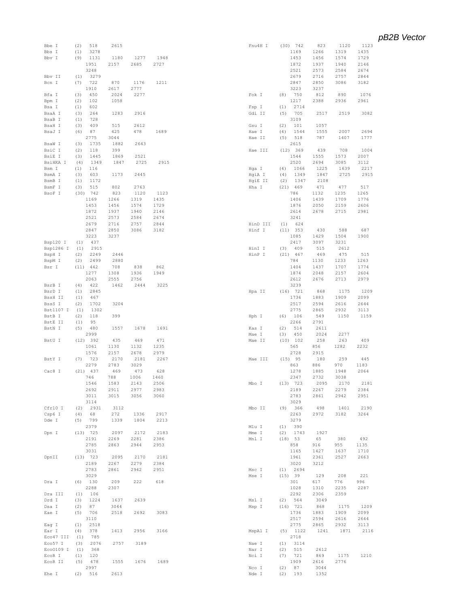| Bbe I               | 518<br>(2)               | 2615         |              |              | Fnu4H I            | (30) 742                 | 823          | 1120         | 1123         |
|---------------------|--------------------------|--------------|--------------|--------------|--------------------|--------------------------|--------------|--------------|--------------|
| Bbs I               | 3278<br>(1)              |              |              |              |                    | 1169                     | 1266         | 1319         | 1435         |
| Bbv I               | 1131<br>(9)              | 1180         | 1277         | 1948         |                    | 1453                     | 1456         | 1574         | 1729         |
|                     | 1951<br>3248             | 2157         | 2685         | 2727         |                    | 1872                     | 1937         | 1940         | 2146         |
|                     | 3279                     |              |              |              |                    | 2521                     | 2573         | 2584         | 2674         |
| Bbv II<br>Bcn I     | (1)<br>722<br>(7)        | 870          | 1176         | 1211         |                    | 2679<br>2847             | 2716<br>2850 | 2757<br>3086 | 2844<br>3182 |
|                     | 1910                     | 2617         | 2777         |              |                    | 3223                     | 3237         |              |              |
| Bfa I               | 450<br>(3)               | 2024         | 2277         |              | Fok I              | 750<br>(8)               | 812          | 890          | 1076         |
| Bpm I               | 102<br>(2)               | 1058         |              |              |                    | 1217                     | 2388         | 2936         | 2961         |
| Bsa I               | 602<br>(1)               |              |              |              | Fsp I              | 2714<br>(1)              |              |              |              |
| BsaA I              | (3)<br>264               | 1283         | 2916         |              | Gdi II             | 705<br>(5)               | 2517         | 2519         | 3082         |
| BsaB I              | (1)<br>728               |              |              |              |                    | 3109                     |              |              |              |
| BsaH I              | (3)<br>409               | 515          | 2612         |              | Gsu I              | (2)<br>101               | 1057         |              |              |
| BsaJ I              | (6)<br>87                | 425          | 478          | 1689         | Hae I              | (4)<br>1544              | 1555         | 2007         | 2694         |
|                     | 2775                     | 3044         |              |              | Hae II             | 518<br>(5)               | 787          | 1407         | 1777         |
| BsaW I              | (3)<br>1735              | 1882         | 2643         |              |                    | 2615                     |              |              |              |
| BsiC I              | (2)<br>118               | 399          |              |              | Hae III            | (12) 369                 | 439          | 708          | 1004         |
| BsiE I              | 1445<br>(3)              | 1869         | 2521         |              |                    | 1544                     | 1555         | 1573         | 2007         |
| BsiHKA I            | (4)<br>1349              | 1847         | 2725         | 2915         |                    | 2520                     | 2694         | 3085         | 3112         |
| Bsm I               | (1)<br>116               |              |              |              | Hga I              | (4)<br>1066              | 1225         | 1639         | 2217         |
| BsmA I              | (3)<br>603               | 1173         | 2445         |              | HgiA I             | 1349<br>(4)              | 1847         | 2725         | 2915         |
| BsmB I              | (1)<br>1172              |              |              |              | HgiE II            | (2)<br>1347              | 2108         |              |              |
| BsmF I              | (3)<br>515               | 802          | 2763         |              | Hha I              | $(21)$ 469               | 471          | 477          | 517          |
| BsoF I              | $(30)$ 742               | 823          | 1120         | 1123         |                    | 786                      | 1132         | 1235         | 1265         |
|                     | 1169                     | 1266         | 1319         | 1435         |                    | 1406                     | 1439         | 1709         | 1776         |
|                     | 1453                     | 1456         | 1574         | 1729         |                    | 1876                     | 2050         | 2159         | 2606         |
|                     | 1872                     | 1937         | 1940         | 2146         |                    | 2614<br>3241             | 2678         | 2715         | 2981         |
|                     | 2521                     | 2573         | 2584         | 2674         |                    |                          |              |              |              |
|                     | 2679<br>2847             | 2716<br>2850 | 2757<br>3086 | 2844<br>3182 | HinD III<br>Hinf I | 624<br>(1)<br>(11) 353   | 430          | 588          | 687          |
|                     | 3223                     | 3237         |              |              |                    | 1085                     | 1429         | 1504         | 1900         |
| Bsp120 I            | 437<br>(1)               |              |              |              |                    | 2417                     | 3097         | 3231         |              |
| Bsp1286 I           | 2915<br>(1)              |              |              |              | HinI I             | 409<br>(3)               | 515          | 2612         |              |
| BspH I              | (2)<br>2249              | 2446         |              |              | HinP I             | $(21)$ 467               | 469          | 475          | 515          |
| BspM I              | (2)<br>2499              | 2880         |              |              |                    | 784                      | 1130         | 1233         | 1263         |
| Bsr I               | $(11)$ 442               | 708          | 838          | 862          |                    | 1404                     | 1437         | 1707         | 1774         |
|                     | 1277                     | 1308         | 1936         | 1949         |                    | 1874                     | 2048         | 2157         | 2604         |
|                     | 2063                     | 2555         | 2756         |              |                    | 2612                     | 2676         | 2713         | 2979         |
| BsrB I              | 422<br>(4)               | 1462         | 2444         | 3225         |                    | 3239                     |              |              |              |
| BsrD I              | (1)<br>2845              |              |              |              | Hpa II             | $(16)$ 721               | 868          | 1175         | 1209         |
| BssH II             | (1)<br>467               |              |              |              |                    | 1736                     | 1883         | 1909         | 2099         |
| BssS I              | (2)<br>1702              | 3204         |              |              |                    | 2517                     | 2594         | 2616         | 2644         |
| Bst1107 I           | (1)<br>1302              |              |              |              |                    | 2775                     | 2865         | 2932         | 3113         |
| BstB I              | (2)<br>118               | 399          |              |              | Hph I              | (6)<br>106               | 549          | 1150         | 1159         |
| BstE II             | 95<br>(1)                |              |              |              |                    | 2266                     | 2791         |              |              |
| BstN I              | (5)<br>480               | 1557         | 1678         | 1691         | Kas I              | (2)<br>514               | 2611         |              |              |
|                     | 2999                     |              |              |              | Mae I              | (3)<br>450               | 2024         | 2277         |              |
| BstU I              | (12) 392                 | 435          | 469          | 471          | Mae II             | $(10)$ 102               | 258          | 263          | 409          |
|                     | 1061                     | 1130         | 1132         | 1235         |                    | 565                      | 856          | 1282         | 2232         |
|                     | 1576                     | 2157         | 2678         | 2979         |                    | 2728                     | 2915         |              |              |
| BstY I              | 723<br>(7)               | 2170         | 2181         | 2267         | Mae III            | (15) 95                  | 180          | 259          | 445          |
|                     | 2279                     | 2783         | 3029         |              |                    | 863                      | 886          | 970          | 1183         |
| Cac8 I              | $(21)$ 437               | 469          | 473          | 628          |                    | 1278                     | 1885         | 1948         | 2064         |
|                     | 746                      | 788          | 1006         | 1460         | Mbo I              | 2347                     | 2732         | 3038         |              |
|                     | 1546                     | 1583         | 2143         | 2506         |                    | $(13)$ 723               | 2095         | 2170         | 2181         |
|                     | 2692<br>3011             | 2911<br>3015 | 2977<br>3056 | 2983<br>3060 |                    | 2189<br>2783             | 2267<br>2861 | 2279<br>2942 | 2384<br>2951 |
|                     | 3114                     |              |              |              |                    | 3029                     |              |              |              |
| Cfr10 I             | $(2)$ 2931               | 3112         |              |              | Mbo II             | (9) 366                  | 498          | 1401         | 2190         |
| Csp6 I              | (4)<br>68                | 272          | 1336         | 2917         |                    | 2263                     | 2972         | 3182         | 3264         |
| Dde I               | (5)<br>799               | 1339         | 1804         | 2213         |                    | 3279                     |              |              |              |
|                     | 2379                     |              |              |              | Mlu I              | (1) 390                  |              |              |              |
| Dpn I               | $(13)$ 725               | 2097         | 2172         | 2183         | Mme I              | $(2)$ 1743               | 1927         |              |              |
|                     | 2191                     | 2269         | 2281         | 2386         | Mnl I              | (18) 53                  | 65           | 380          | 492          |
|                     | 2785                     | 2863         | 2944         | 2953         |                    | 858                      | 916          | 955          | 1135         |
|                     |                          |              |              |              |                    |                          | 1427         | 1637         |              |
| DpnII               | 3031                     |              |              |              |                    | 1165                     |              |              | 1710         |
|                     | (13) 723                 | 2095         | 2170         | 2181         |                    | 1961                     | 2361         | 2527         | 2663         |
|                     | 2189                     | 2267         | 2279         | 2384         |                    | 3020                     | 3212         |              |              |
|                     | 2783                     | 2861         | 2942         | 2951         | Msc I              | $(1)$ 2694               |              |              |              |
|                     | 3029                     |              |              |              | Mse I              | (15) 39                  | 129          | 208          | 221          |
| Dra I               | $(6)$ 130                | 209          | 222          | 618          |                    | 301                      | 617          | 776          | 996          |
|                     | 2288                     | 2307         |              |              |                    | 1028                     | 1310         | 2235         | 2287         |
| Dra III             | (1)<br>106               |              |              |              |                    | 2292                     | 2306         | 2359         |              |
| Drd I               | 1224<br>(3)              | 1637         | 2639         |              | Msl I              | (2) 564                  | 3049         |              |              |
| Dsa I               | (2)<br>87                | 3044         |              |              | Msp I              | $(16)$ 721               | 868          | 1175         | 1209         |
| Eae I               | (5)<br>706               | 2518         | 2692         | 3083         |                    | 1736                     | 1883         | 1909         | 2099         |
|                     | 3110                     |              |              |              |                    | 2517                     | 2594         | 2616         | 2644         |
| Eag I               | (1)<br>2518              |              |              |              |                    | 2775                     | 2865         | 2932         | 3113         |
| Ear I               | 378<br>(4)               | 1413         | 2956         | 3166         | MspA1 I            | $(5)$ 1122               | 1241         | 1871         | 2116         |
| Eco47 III           | 785<br>(1)               |              | 3189         |              |                    | 2718                     |              |              |              |
| Eco57 I             | 2076<br>(3)              | 2757         |              |              | Nae I              | $(1)$ 3114               |              |              |              |
| Eco0109 I<br>EcoR I | (1)<br>368<br>(1)<br>120 |              |              |              | Nar I<br>Nci I     | (2)<br>515<br>721<br>(7) | 2612<br>869  | 1175         | 1210         |
| ECOR II             | (5)<br>478               | 1555         | 1676         | 1689         |                    | 1909                     | 2616         | 2776         |              |
|                     | 2997                     |              |              |              | Nco I              | (2)<br>87                | 3044         |              |              |